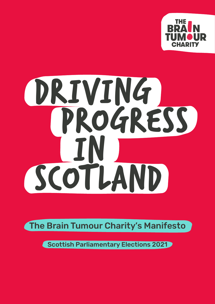

# DRIVING PROGRESS in Scotland

The Brain Tumour Charity's Manifesto

Scottish Parliamentary Elections 2021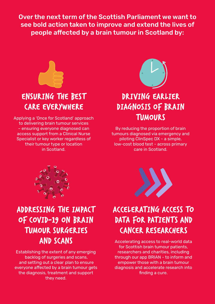Over the next term of the Scottish Parliament we want to see bold action taken to improve and extend the lives of people affected by a brain tumour in Scotland by:



## Ensuring the best care everywhere

Applying a 'Once for Scotland' approach to delivering brain tumour services – ensuring everyone diagnosed can access support from a Clinical Nurse Specialist or key worker regardless of their tumour type or location in Scotland.



## Driving earlier diagnosis of brain **TUMOURS**

By reducing the proportion of brain tumours diagnosed via emergency and piloting ClinSpec DX - a simple, low-cost blood test - across primary care in Scotland.



## ADDRESSING THE IMPACT of coviD-19 on brain **TUMOUR SURGERIES** anD ScanS

Establishing the extent of any emerging backlog of surgeries and scans, and setting out a clear plan to ensure everyone affected by a brain tumour gets the diagnosis, treatment and support they need.



# Accelerating access to data for patients and cancer researchers

Accelerating access to real-world data for Scottish brain tumour patients, researchers and charities, including through our app BRIAN - to inform and empower those with a brain tumour diagnosis and accelerate research into finding a cure.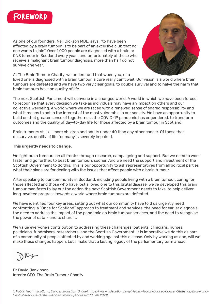

As one of our founders, Neil Dickson MBE, says: "to have been affected by a brain tumour, is to be part of an exclusive club that no one wants to join". Over 1,000 people are diagnosed with a brain or CNS tumour in Scotland every year , and unfortunately of those who receive a malignant brain tumour diagnosis, more than half do not survive one year.



At The Brain Tumour Charity, we understand that when you, or a

loved one is diagnosed with a brain tumour, a cure really can't wait. Our vision is a world where brain tumours are defeated and we have two very clear goals: to double survival and to halve the harm that brain tumours have on quality of life.

The next Scottish Parliament will convene in a changed world. A world in which we have been forced to recognise that every decision we take as individuals may have an impact on others and our collective wellbeing. A world where we are faced with a renewed sense of shared responsibility and what it means to act in the interest of the most vulnerable in our society. We have an opportunity to build on that greater sense of togetherness the COVID-19 pandemic has engendered, to transform outcomes and the quality of day-to-day life for those affected by a brain tumour in Scotland.

Brain tumours still kill more children and adults under 40 than any other cancer. Of those that do survive, quality of life for many is severely impaired.

## This urgently needs to change.

We fight brain tumours on all fronts: through research, campaigning and support. But we need to work faster and go further, to beat brain tumours sooner. And we need the support and investment of the Scottish Government to do this. This is our opportunity to ask representatives from all political parties soction covernment to do this. This is our opportunity to discripresentatives from an<br>what their plans are for dealing with the issues that affect people with a brain tumour. that their plans are for dealing with the issues that affect people wr

.<br>After speaking to our community in Scotland, including people living with a brain tumour, caring for those affected and those who have lost a loved one to this brutal disease, we've developed this brain tumour manifesto to lay out the action the next Scottish Government needs to take, to help deliver long-awaited progress towards a world where brain tumours are defeated.

We have identified four key areas, setting out what our community have told us urgently need confronting: a "Once for Scotland" approach to treatment and services, the need for earlier diagnosis, the need to address the impact of the pandemic on brain tumour services, and the need to recognise the need to database the impact of the panaermo of brain tambar.<br>the power of data – and to share it.  $\sigma$  power or gata – and to share it.

We value everyone's contribution to addressing these challenges: patients, clinicians, nurses, politicians, fundraisers, researchers, and the Scottish Government. It is imperative we do this as part of a community of people affected by and working against this disease. Only by working as one, will we make these changes happen. Let's make that a lasting legacy of the parliamentary term ahead.

Dr David Jenkinson Dr David Jenkinson <u>Dr. Bavia Sommison</u><br>Interim CEO, The Brain Tumour Charity ternin OLO, The Drain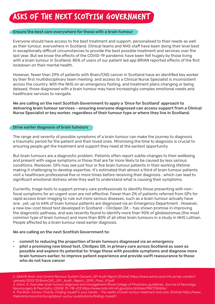# Asks of the next Scottish Government

## Ensure the best care everywhere for those with a brain tumour

Everyone should have access to the best treatment and support, personalised to their needs as well as their tumour, everywhere in Scotland. Clinical teams and NHS staff have been doing their level best in exceptionally difficult circumstances to provide the best possible treatment and services over the last year. But we know the effects of the COVID-19 pandemic have been felt hugely by those living with a brain tumour in Scotland. 85% of users of our patient led app BRIAN reported effects of the first lockdown on their mental health.

However, fewer than 29% of patients with Brain/CNS cancer in Scotland have an identified key worker by their first multidisciplinary team meeting and access to a Clinical Nurse Specialist is inconsistent across the country. With the NHS on an emergency footing, and treatment plans changing or being delayed, those diagnosed with a brain tumour may have increasingly complex emotional needs and healthcare services to navigate.

We are calling on the next Scottish Government to apply a 'Once for Scotland' approach to delivering brain tumour services – ensuring everyone diagnosed can access support from a Clinical Nurse Specialist or key worker, regardless of their tumour type or where they live in Scotland.

## Drive earlier diagnosis of brain tumours

The range and severity of possible symptoms of a brain tumour can make the journey to diagnosis a traumatic period for the patient and their loved ones. Minimising the time to diagnosis is crucial to ensuring people get the treatment and support they need at the earliest opportunity.

But brain tumours are a diagnostic problem. Patients often report subtle changes to their wellbeing and present with vague symptoms or those that are far more likely to be caused by less serious conditions. Moreover, GPs may see just four or five brain tumour patients in their working lifetime making it challenging to develop expertise. It's estimated that almost a third of brain tumour patients visit a healthcare professional five or more times before receiving their diagnosis , which can lead to significant emotional distress while they wait to understand what is causing their symptoms.

Currently, triage tools to support primary care professionals to identify those presenting with nonfocal symptoms for an urgent scan are not effective. Fewer than 2% of patients referred from GPs for rapid access brain imaging to rule out more serious diseases, such as a brain tumour actually have one , yet, up to 64% of brain tumour patients are diagnosed via an Emergency Department . However, a new low-cost blood test developed in Scotland – ClinSpec DX – has shown promise in improving the diagnostic pathway, and was recently found to identify more than 90% of glioblastomas (the most common type of brain tumour) and more than 80% of all other brain tumours in a study in NHS Lothian. People affected by a brain tumour need earlier diagnosis.

## We are calling on the next Scottish Government to:

- commit to reducing the proportion of brain tumours diagnosed via an emergency
- pilot a promising new blood test, ClinSpec DX, in primary care across Scotland as soon as possible and explore its potential to: triage those with possible symptoms and diagnose more brain tumours earlier, to improve patient experience and provide swift reassurance to those who do not have cancer

*2. SANON Brain and Central Nervous System Cancers, QPI Audit Report [Online] https://www.sanon.scot.nhs.uk/wp-content/ uploads/2020/12/BrainCNS\_QPI\_Audit\_Report\_2019\_Final\_V1.pdf. 3. Grant, R. Overview: brain tumour diagnosis and management/Royal College of Physicians guidelines. Journal of Neurology, Neurosurgery & Psychiatry; (2004) 75: ii18-ii23 https://www.ncbi.nlm.nih.gov/pmc/articles/PMC1765656/. 4. The Brain Tumour Charity, Finding myself in your hands – The reality of brain tumour treatment and care. [Online] https://www. thebraintumourcharity.org/about-us/our-publications/finding-myself/.*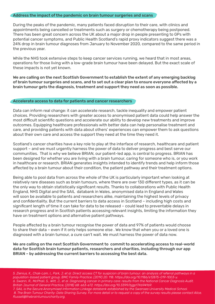#### Address the impact of the pandemic on brain tumour surgeries and scans

During the peaks of the pandemic, many patients faced disruption to their care, with clinics and appointments being cancelled or treatments such as surgery or chemotherapy being postponed. There has been great concern across the UK about a major drop in people presenting to GPs with potential cancer symptoms, and Public Health Scotland's rapid proxy indicators suggest there was a 24% drop in brain tumour diagnoses from January to November 2020, compared to the same period in the previous year.

While the NHS took extensive steps to keep cancer services running, we heard that in most areas, operations for those living with a low-grade brain tumour have been delayed. But the exact scale of these impacts is not yet known.

We are calling on the next Scottish Government to establish the extent of any emerging backlog of brain tumour surgeries and scans, and to set out a clear plan to ensure everyone affected by a brain tumour gets the diagnosis, treatment and support they need as soon as possible.

#### Accelerate access to data for patients and cancer researchers

Data can inform real change: it can accelerate research, tackle inequality and empower patient choices. Providing researchers with greater access to anonymised patient data could help answer the most difficult scientific questions and accelerate our ability to develop new treatments and improve outcomes. Equipping healthcare professionals with better data can help personalise treatment and care, and providing patients with data about others' experiences can empower them to ask questions about their own care and access the support they need at the time they need it.

Scotland's cancer charities have a key role to play at the interface of research, healthcare and patient support – and we must urgently harness the power of data to deliver progress and best serve our communities. That is why we believe BRIAN, our patient-led app, is central to progress. BRIAN has been designed for whether you are living with a brain tumour, caring for someone who is, or you work in healthcare or research. BRIAN generates insights intended to identify trends and help inform those affected by a brain tumour about their condition, the patient pathway and their treatment options.

Being able to pool data from across the whole of the UK is particularly important when looking at relatively rare diseases such as brain tumours, where there are over 130 different types, as it can be the only way to obtain statistically significant results. Thanks to collaborations with Public Health England, NHS Digital and the SAIL databank in Wales, anonymised data in England and Wales will soon be available to patients and researchers alike, maintaining the highest levels of privacy and confidentiality. But the current barriers to data access in Scotland – including high costs and significant length of time it can take for data to be released – could lead to preventable delays in research progress and in Scottish patients accessing relevant insights, limiting the information they have on treatment options and alternative patient pathways.

People affected by a brain tumour recognise the power of data and 97% of patients would choose to share their data – even if it only helps someone else . We know that when you or a loved one is diagnosed with a brain tumour, a cure can't wait. We must harness the power of data now.

We are calling on the next Scottish Government to commit to accelerating access to real-world data for Scottish brain tumour patients, researchers and charities, including through our app BRIAN – by addressing the current barriers to accessing the best data.

*5. Zienius, K., Chak-Lam, I., Park, J. et al. Direct access CT for suspicion of brain tumour: an analysis of referral pathways in a population-based patient group. BMC Family Practice; (2019) 20: 118. https://doi.org/10.1186/s12875-019-1003-y. 6. Swann, R., McPhail, S., Witt, J., et al. Diagnosing cancer in primary care: results from the National Cancer Diagnosis Audit. British Journal of General Practice; (2018) 68: e63-e72. https://doi.org/10.3399/bjgp17X694169. 7. SAIL is the Secure Anonymised Information Linkage databank established by the Swansea University Medical School. 8. The Brain Tumour Charity: Data Sharing Survey. For more detail or to request a copy of the survey results please contact Alice.*

*Russell@thebraintumourcharity.org.*